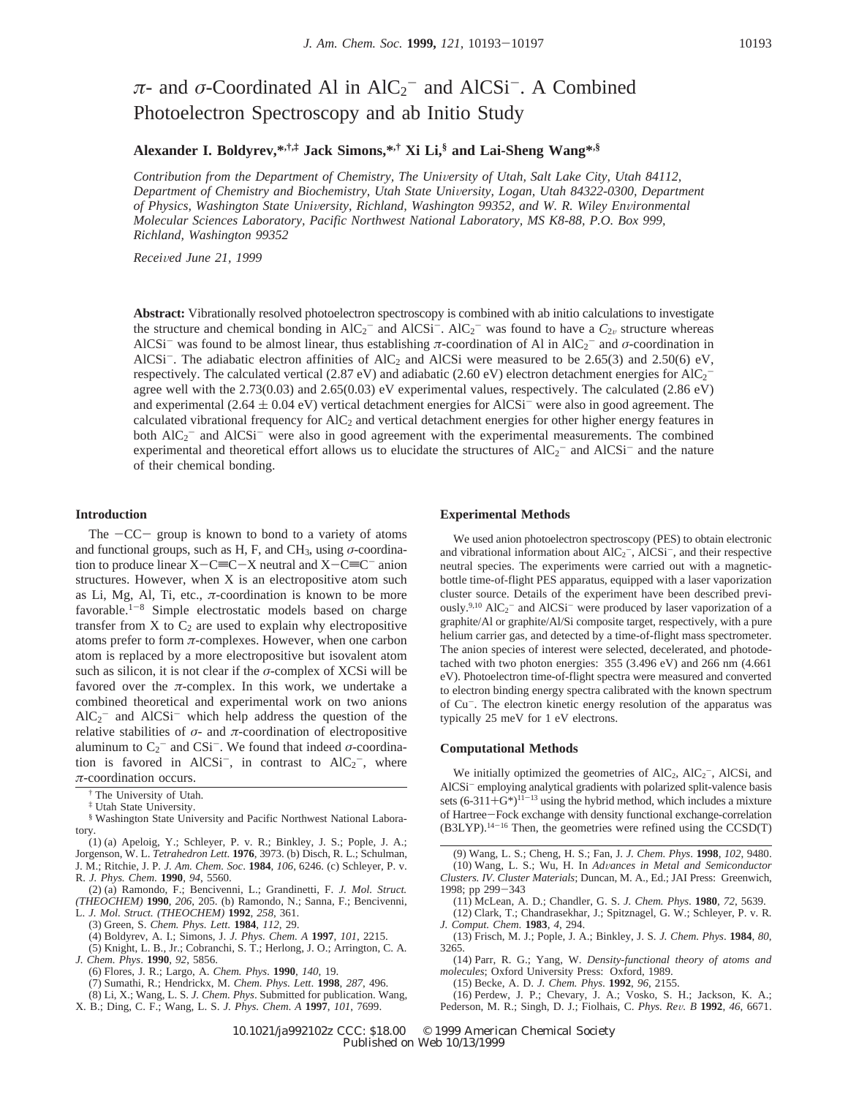# $\pi$ - and *σ*-Coordinated Al in AlC<sub>2</sub><sup>-</sup> and AlCSi<sup>-</sup>. A Combined Photoelectron Spectroscopy and ab Initio Study

# **Alexander I. Boldyrev,\*,†,‡ Jack Simons,\*,† Xi Li,§ and Lai-Sheng Wang\*,§**

*Contribution from the Department of Chemistry, The University of Utah, Salt Lake City, Utah 84112, Department of Chemistry and Biochemistry, Utah State Uni*V*ersity, Logan, Utah 84322-0300, Department*  $of Physics, Washington State University, Richard, Washington 99352, and W. R. Wiley Environmental$ *Molecular Sciences Laboratory, Pacific Northwest National Laboratory, MS K8-88, P.O. Box 999, Richland, Washington 99352*

*Recei*V*ed June 21, 1999*

**Abstract:** Vibrationally resolved photoelectron spectroscopy is combined with ab initio calculations to investigate the structure and chemical bonding in  $AIC_2^-$  and  $AICSi^-$ .  $AIC_2^-$  was found to have a  $C_{2\nu}$  structure whereas AlCSi<sup>-</sup> was found to be almost linear, thus establishing *π*-coordination of Al in AlC<sub>2</sub><sup>-</sup> and *σ*-coordination in AlCSi<sup>-</sup>. The adiabatic electron affinities of AlC<sub>2</sub> and AlCSi were measured to be 2.65(3) and 2.50(6) eV, respectively. The calculated vertical (2.87 eV) and adiabatic (2.60 eV) electron detachment energies for AlC<sub>2</sub><sup>-</sup> agree well with the 2.73(0.03) and 2.65(0.03) eV experimental values, respectively. The calculated (2.86 eV) and experimental ( $2.64 \pm 0.04$  eV) vertical detachment energies for AlCSi<sup>-</sup> were also in good agreement. The calculated vibrational frequency for  $AIC<sub>2</sub>$  and vertical detachment energies for other higher energy features in both  $AIC_2^-$  and  $AICSi^-$  were also in good agreement with the experimental measurements. The combined experimental and theoretical effort allows us to elucidate the structures of  $AIC_2^-$  and  $AICSi^-$  and the nature of their chemical bonding.

#### **Introduction**

The  $-CC$  group is known to bond to a variety of atoms and functional groups, such as H, F, and CH<sub>3</sub>, using  $\sigma$ -coordination to produce linear  $X-C\equiv C-X$  neutral and  $X-C\equiv C^-$  anion structures. However, when X is an electropositive atom such as Li, Mg, Al, Ti, etc.,  $\pi$ -coordination is known to be more favorable.<sup>1-8</sup> Simple electrostatic models based on charge transfer from  $X$  to  $C_2$  are used to explain why electropositive atoms prefer to form *π*-complexes. However, when one carbon atom is replaced by a more electropositive but isovalent atom such as silicon, it is not clear if the *σ*-complex of XCSi will be favored over the  $\pi$ -complex. In this work, we undertake a combined theoretical and experimental work on two anions  $AIC_2^-$  and  $AICSi^-$  which help address the question of the relative stabilities of  $\sigma$ - and  $\pi$ -coordination of electropositive aluminum to  $C_2^-$  and CSi<sup>-</sup>. We found that indeed  $\sigma$ -coordination is favored in AlCSi<sup>-</sup>, in contrast to  $AIC_2$ <sup>-</sup>, where *π*-coordination occurs.

† The University of Utah.

‡ Utah State University.

§ Washington State University and Pacific Northwest National Laboratory.

(1) (a) Apeloig, Y.; Schleyer, P. v. R.; Binkley, J. S.; Pople, J. A.; Jorgenson, W. L. *Tetrahedron Lett*. **1976**, 3973. (b) Disch, R. L.; Schulman, J. M.; Ritchie, J. P*. J. Am. Chem. Soc*. **1984**, *106*, 6246. (c) Schleyer, P. v. R. *J. Phys. Chem*. **1990**, *94*, 5560.

(2) (a) Ramondo, F.; Bencivenni, L.; Grandinetti, F. *J. Mol. Struct. (THEOCHEM)* **1990**, *206*, 205. (b) Ramondo, N.; Sanna, F.; Bencivenni, L. *J. Mol. Struct. (THEOCHEM)* **1992**, *258*, 361.

(3) Green, S. *Chem. Phys. Lett*. **1984**, *112*, 29.

(4) Boldyrev, A. I.; Simons, J. *J. Phys. Chem. A* **1997**, *101*, 2215.

(5) Knight, L. B., Jr.; Cobranchi, S. T.; Herlong, J. O.; Arrington, C. A*.*

*J. Chem. Phys*. **1990**, *92*, 5856.

(6) Flores, J. R.; Largo, A. *Chem. Phys*. **1990**, *140*, 19.

(7) Sumathi, R.; Hendrickx, M. *Chem. Phys. Lett*. **1998**, *287*, 496.

(8) Li, X.; Wang, L. S. *J. Chem. Phys*. Submitted for publication. Wang,

X. B.; Ding, C. F.; Wang, L. S. *J. Phys. Chem*. *A* **1997**, *101*, 7699.

#### **Experimental Methods**

We used anion photoelectron spectroscopy (PES) to obtain electronic and vibrational information about  $AIC_2^-$ ,  $AICSi^-$ , and their respective neutral species. The experiments were carried out with a magneticbottle time-of-flight PES apparatus, equipped with a laser vaporization cluster source. Details of the experiment have been described previously.<sup>9,10</sup> AlC<sub>2</sub><sup>-</sup> and AlCSi<sup>-</sup> were produced by laser vaporization of a graphite/Al or graphite/Al/Si composite target, respectively, with a pure helium carrier gas, and detected by a time-of-flight mass spectrometer. The anion species of interest were selected, decelerated, and photodetached with two photon energies: 355 (3.496 eV) and 266 nm (4.661 eV). Photoelectron time-of-flight spectra were measured and converted to electron binding energy spectra calibrated with the known spectrum of Cu-. The electron kinetic energy resolution of the apparatus was typically 25 meV for 1 eV electrons.

# **Computational Methods**

We initially optimized the geometries of  $AIC_2$ ,  $AIC_2^-$ ,  $AICSi$ , and AlCSi<sup>-</sup> employing analytical gradients with polarized split-valence basis sets  $(6-311+G^*)^{11-13}$  using the hybrid method, which includes a mixture of Hartree-Fock exchange with density functional exchange-correlation (B3LYP).14-<sup>16</sup> Then, the geometries were refined using the CCSD(T)

(9) Wang, L. S.; Cheng, H. S.; Fan, J. *J. Chem. Phys*. **1998**, *102*, 9480. (10) Wang, L. S.; Wu, H. In *Ad*V*ances in Metal and Semiconductor Clusters. IV*. *Cluster Materials*; Duncan, M. A., Ed.; JAI Press: Greenwich, 1998; pp 299-<sup>343</sup>

(11) McLean, A. D.; Chandler, G. S. *J. Chem. Phys*. **1980**, *72*, 5639.

(12) Clark, T.; Chandrasekhar, J.; Spitznagel, G. W.; Schleyer, P. v. R*. J. Comput. Chem*. **1983**, *4*, 294.

(13) Frisch, M. J.; Pople, J. A.; Binkley, J. S. *J. Chem. Phys*. **1984**, *80*, 3265.

(14) Parr, R. G.; Yang, W. *Density-functional theory of atoms and molecules*; Oxford University Press: Oxford, 1989.

(15) Becke, A. D. *J. Chem. Phys*. **1992**, *96*, 2155.

(16) Perdew, J. P.; Chevary, J. A.; Vosko, S. H.; Jackson, K. A.; Pederson, M. R.; Singh, D. J.; Fiolhais, C. *Phys. Re*V*. B* **<sup>1992</sup>**, *<sup>46</sup>*, 6671.

10.1021/ja992102z CCC: \$18.00 © 1999 American Chemical Society Published on Web 10/13/1999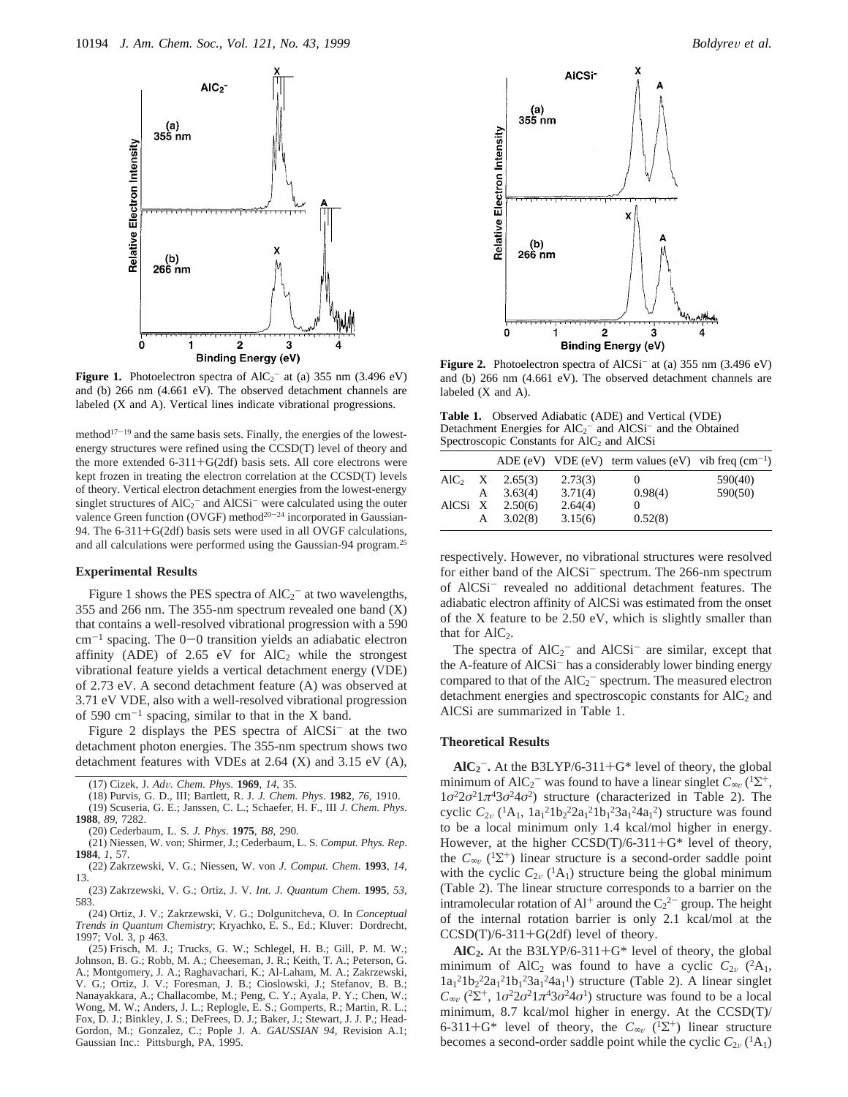

**Figure 1.** Photoelectron spectra of  $AIC_2^-$  at (a) 355 nm (3.496 eV) and (b) 266 nm (4.661 eV). The observed detachment channels are labeled (X and A). Vertical lines indicate vibrational progressions.

method $17-19$  and the same basis sets. Finally, the energies of the lowestenergy structures were refined using the CCSD(T) level of theory and the more extended 6-311+G(2df) basis sets. All core electrons were kept frozen in treating the electron correlation at the CCSD(T) levels of theory. Vertical electron detachment energies from the lowest-energy singlet structures of  $AIC<sub>2</sub><sup>-</sup>$  and  $AICSi<sup>-</sup>$  were calculated using the outer valence Green function (OVGF) method<sup>20-24</sup> incorporated in Gaussian-94. The 6-311+G(2df) basis sets were used in all OVGF calculations, and all calculations were performed using the Gaussian-94 program.<sup>25</sup>

#### **Experimental Results**

Figure 1 shows the PES spectra of  $AIC_2^-$  at two wavelengths, 355 and 266 nm. The 355-nm spectrum revealed one band (X) that contains a well-resolved vibrational progression with a 590  $cm^{-1}$  spacing. The  $0-0$  transition yields an adiabatic electron affinity (ADE) of 2.65 eV for  $AIC<sub>2</sub>$  while the strongest vibrational feature yields a vertical detachment energy (VDE) of 2.73 eV. A second detachment feature (A) was observed at 3.71 eV VDE, also with a well-resolved vibrational progression of 590  $cm^{-1}$  spacing, similar to that in the X band.

Figure 2 displays the PES spectra of AlCSi<sup>-</sup> at the two detachment photon energies. The 355-nm spectrum shows two detachment features with VDEs at 2.64 (X) and 3.15 eV (A),

(24) Ortiz, J. V.; Zakrzewski, V. G.; Dolgunitcheva, O. In *Conceptual Trends in Quantum Chemistry*; Kryachko, E. S., Ed.; Kluver: Dordrecht, 1997; Vol. 3, p 463.

(25) Frisch, M. J.; Trucks, G. W.; Schlegel, H. B.; Gill, P. M. W.; Johnson, B. G.; Robb, M. A.; Cheeseman, J. R.; Keith, T. A.; Peterson, G. A.; Montgomery, J. A.; Raghavachari, K.; Al-Laham, M. A.; Zakrzewski, V. G.; Ortiz, J. V.; Foresman, J. B.; Cioslowski, J.; Stefanov, B. B.; Nanayakkara, A.; Challacombe, M.; Peng, C. Y.; Ayala, P. Y.; Chen, W.; Wong, M. W.; Anders, J. L.; Replogle, E. S.; Gomperts, R.; Martin, R. L.; Fox, D. J.; Binkley, J. S.; DeFrees, D. J.; Baker, J.; Stewart, J. J. P.; Head-Gordon, M.; Gonzalez, C.; Pople J. A. *GAUSSIAN 94*, Revision A.1; Gaussian Inc.: Pittsburgh, PA, 1995.





Figure 2. Photoelectron spectra of AlCSi<sup>-</sup> at (a) 355 nm (3.496 eV) and (b) 266 nm (4.661 eV). The observed detachment channels are labeled (X and A).

**Table 1.** Observed Adiabatic (ADE) and Vertical (VDE) Detachment Energies for  $AIC_2^-$  and  $AICSi^-$  and the Obtained Spectroscopic Constants for AlC<sub>2</sub> and AlCSi

|                  |   |         |         | ADE (eV) VDE (eV) term values (eV) vib freq $\rm (cm^{-1})$ |         |
|------------------|---|---------|---------|-------------------------------------------------------------|---------|
| $\text{AlC}_2$ X |   | 2.65(3) | 2.73(3) | O                                                           | 590(40) |
|                  | A | 3.63(4) | 3.71(4) | 0.98(4)                                                     | 590(50) |
| AlCSi X          |   | 2.50(6) | 2.64(4) |                                                             |         |
|                  | A | 3.02(8) | 3.15(6) | 0.52(8)                                                     |         |

respectively. However, no vibrational structures were resolved for either band of the AlCSi<sup>-</sup> spectrum. The 266-nm spectrum of AlCSi<sup>-</sup> revealed no additional detachment features. The adiabatic electron affinity of AlCSi was estimated from the onset of the X feature to be 2.50 eV, which is slightly smaller than that for  $\text{AlC}_2$ .

The spectra of  $AIC_2^-$  and  $AICSi^-$  are similar, except that the A-feature of AlCSi<sup>-</sup> has a considerably lower binding energy compared to that of the  $AIC_2^-$  spectrum. The measured electron detachment energies and spectroscopic constants for  $AIC<sub>2</sub>$  and AlCSi are summarized in Table 1.

#### **Theoretical Results**

 $\text{AIC}_2$ <sup>-</sup>• At the B3LYP/6-311+G<sup>\*</sup> level of theory, the global<br>nimum of  $\text{AIC}_2$ <sup>-</sup> was found to have a linear singlet  $C_1$  (15<sup>+</sup>) minimum of AlC<sub>2</sub><sup>-</sup> was found to have a linear singlet  $C_{\infty}$  (<sup>1</sup>Σ<sup>+</sup>,  $\frac{1}{2}$ <sup>2</sup> $\frac{2}{3}$  $\frac{1}{4}$  $\frac{42}{3}$  $\frac{24}{3}$  $\frac{2}{3}$ ), trusture, (obsessing in Teble 2). The  $1\sigma^2 2\sigma^2 1\pi^4 3\sigma^2 4\sigma^2$ ) structure (characterized in Table 2). The cyclic  $C_{2v}$  ( ${}^{1}A_1$ ,  $1a_1{}^{2}1b_2{}^{2}2a_1{}^{2}1b_1{}^{2}3a_1{}^{2}4a_1{}^{2}$ ) structure was found to be a local minimum only 1.4 kcal/mol higher in energy. However, at the higher  $CCSD(T)/6-311+G*$  level of theory, the  $C_{\infty}$  (<sup>1</sup> $\Sigma$ <sup>+</sup>) linear structure is a second-order saddle point with the cyclic  $C_{2v}$  (<sup>1</sup>A<sub>1</sub>) structure being the global minimum (Table 2). The linear structure corresponds to a barrier on the intramolecular rotation of  $Al^+$  around the  $C_2^{2-}$  group. The height of the internal rotation barrier is only 2.1 kcal/mol at the  $CCSD(T)/6-311+G(2df)$  level of theory.

**AlC2.** At the B3LYP/6-311+G\* level of theory, the global minimum of AlC<sub>2</sub> was found to have a cyclic  $C_{2v}$  (<sup>2</sup>A<sub>1</sub>,  $1a_1^21b_2^22a_1^21b_1^23a_1^24a_1^1$ ) structure (Table 2). A linear singlet  $C_{\infty}$  (<sup>2</sup>Σ<sup>+</sup>, 1*σ*<sup>2</sup>2*σ*<sup>2</sup>1*π*<sup>4</sup>3*σ*<sup>2</sup>4*σ*<sup>1</sup>) structure was found to be a local minimum, 8.7 kcal/mol higher in energy. At the CCSD(T)/ 6-311+G\* level of theory, the  $C_{\infty}$  (<sup>1</sup>Σ<sup>+</sup>) linear structure becomes a second-order saddle point while the cyclic  $C_{2v}({}^{1}A_{1})$ 

<sup>(17)</sup> Cizek, J. *Ad*V*. Chem. Phys*. **<sup>1969</sup>**, *<sup>14</sup>*, 35.

<sup>(18)</sup> Purvis, G. D., III; Bartlett, R. J. *J. Chem. Phys*. **1982**, *76*, 1910. (19) Scuseria, G. E.; Janssen, C. L.; Schaefer, H. F., III *J. Chem. Phys*. **1988**, *89*, 7282.

<sup>(20)</sup> Cederbaum, L. S. *J. Phys*. **1975**, *B8*, 290.

<sup>(21)</sup> Niessen, W. von; Shirmer, J.; Cederbaum, L. S. *Comput. Phys. Rep*. **1984**, *1*, 57.

<sup>(22)</sup> Zakrzewski, V. G.; Niessen, W. von *J. Comput. Chem*. **1993**, *14*, 13.

<sup>(23)</sup> Zakrzewski, V. G.; Ortiz, J. V. *Int. J. Quantum Chem*. **1995**, *53*, 583.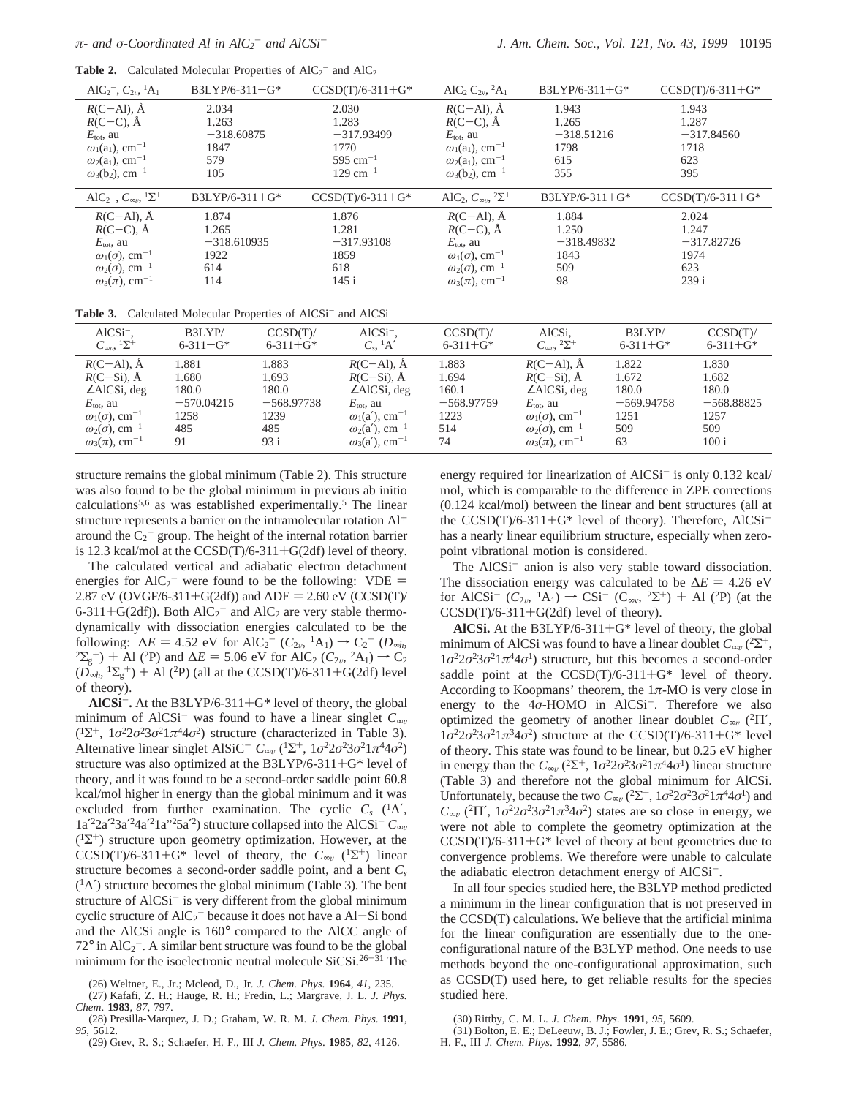|                                                                                 | <b>rabit 2.</b> Calculated Molecular Froperies of $AIC_2$ and $AIC_2$ |                                   |                                                                    |                  |                    |
|---------------------------------------------------------------------------------|-----------------------------------------------------------------------|-----------------------------------|--------------------------------------------------------------------|------------------|--------------------|
| AlC <sub>2</sub> <sup>-</sup> , $C_{2v}$ , <sup>1</sup> A <sub>1</sub>          | $B3LYP/6-311+G*$                                                      | $CCSD(T)/6-311+G*$                | AlC <sub>2</sub> C <sub>2y</sub> , <sup>2</sup> A <sub>1</sub>     | $B3LYP/6-311+G*$ | $CCSD(T)/6-311+G*$ |
| $R(C–Al)$ , Å                                                                   | 2.034                                                                 | 2.030                             | $R(C–Al)$ , $\AA$                                                  | 1.943            | 1.943              |
| $R(C-C)$ , $\AA$                                                                | 1.263                                                                 | 1.283                             | $R(C-C)$ , $\AA$                                                   | 1.265            | 1.287              |
| $E_{\text{tot}}$ , au                                                           | $-318,60875$                                                          | $-317.93499$                      | $E_{\text{tot}}$ , au                                              | $-318.51216$     | $-317.84560$       |
| $\omega_1(a_1)$ , cm <sup>-1</sup>                                              | 1847                                                                  | 1770                              | $\omega_1(a_1)$ , cm <sup>-1</sup>                                 | 1798             | 1718               |
| $\omega_2(a_1)$ , cm <sup>-1</sup>                                              | 579                                                                   | 595 cm <sup><math>-1</math></sup> | $\omega_2(a_1)$ , cm <sup>-1</sup>                                 | 615              | 623                |
| $\omega_3(b_2)$ , cm <sup>-1</sup>                                              | 105                                                                   | $129 \text{ cm}^{-1}$             | $\omega_3(b_2)$ , cm <sup>-1</sup>                                 | 355              | 395                |
| AlC <sub>2</sub> <sup>-</sup> , $C_{\infty}$ <sup>1</sup> $\Sigma$ <sup>+</sup> | $B3LYP/6-311+G*$                                                      | $CCSD(T)/6-311+G*$                | AlC <sub>2</sub> , $C_{\infty}$ <sup>2</sup> $\Sigma$ <sup>+</sup> | $B3LYP/6-311+G*$ | $CCSD(T)/6-311+G*$ |
| $R(C–Al)$ , $\AA$                                                               | 1.874                                                                 | 1.876                             | $R(C–Al)$ , $\AA$                                                  | 1.884            | 2.024              |
| $R(C-C)$ , $\AA$                                                                | 1.265                                                                 | 1.281                             | $R(C-C)$ , $\AA$                                                   | 1.250            | 1.247              |
| $E_{\text{tot}}$ , au                                                           | $-318,610935$                                                         | $-317.93108$                      | $E_{\text{tot}}$ , au                                              | $-318.49832$     | $-317.82726$       |
| $\omega_1(\sigma)$ , cm <sup>-1</sup>                                           | 1922                                                                  | 1859                              | $\omega_1(\sigma)$ , cm <sup>-1</sup>                              | 1843             | 1974               |
| $\omega_2(\sigma)$ , cm <sup>-1</sup>                                           | 614                                                                   | 618                               | $\omega_2(\sigma)$ , cm <sup>-1</sup>                              | 509              | 623                |
| $\omega_3(\pi)$ , cm <sup>-1</sup>                                              | 114                                                                   | 145 i                             | $\omega_3(\pi)$ , cm <sup>-1</sup>                                 | 98               | 239 i              |
|                                                                                 |                                                                       |                                   |                                                                    |                  |                    |

**Table 2.** Calculated Molecular Properties of  $AIC_2^-$  and  $AIC_2$ 

Table 3. Calculated Molecular Properties of AlCSi<sup>-</sup> and AlCSi

| $AICSi^-$ ,                                     | B3LYP/          | CCSD(T)         | $AICSi^-$ ,                       | CCSD(T)         | AlCSi,                                          | B3LYP/          | CCSD(T)         |
|-------------------------------------------------|-----------------|-----------------|-----------------------------------|-----------------|-------------------------------------------------|-----------------|-----------------|
| $C_{\infty}$ <sup>1</sup> $\Sigma$ <sup>+</sup> | $6 - 311 + G^*$ | $6 - 311 + G^*$ | $C_s$ , ${}^1A'$                  | $6 - 311 + G^*$ | $C_{\infty}$ <sup>2</sup> $\Sigma$ <sup>+</sup> | $6 - 311 + G^*$ | $6 - 311 + G^*$ |
| $R(C–Al)$ , $\AA$                               | 1.881           | 1.883           | $R(C–Al)$ , $\AA$                 | 1.883           | $R(C–Al)$ , $\AA$                               | 1.822           | 1.830           |
| $R(C-Si)$ , $\dot{A}$                           | 1.680           | 1.693           | $R(C-Si)$ , $\AA$                 | 1.694           | $R(C-Si)$ , $\dot{A}$                           | 1.672           | 1.682           |
| $\angle$ AlCSi, deg                             | 180.0           | 180.0           | $\angle$ AlCSi, deg               | 160.1           | $\angle$ AlCSi, deg                             | 180.0           | 180.0           |
| $E_{\text{tot}}$ , au                           | $-570.04215$    | $-568.97738$    | $E_{\text{tot}}$ , au             | $-568.97759$    | $E_{\text{tot}}$ , au                           | $-569.94758$    | $-568.88825$    |
| $\omega_1(\sigma)$ , cm <sup>-1</sup>           | 1258            | 1239            | $\omega_1$ (a'), cm <sup>-1</sup> | 1223            | $\omega_1(\sigma)$ , cm <sup>-1</sup>           | 1251            | 1257            |
| $\omega_2(\sigma)$ , cm <sup>-1</sup>           | 485             | 485             | $\omega_2$ (a'), cm <sup>-1</sup> | 514             | $\omega_2(\sigma)$ , cm <sup>-1</sup>           | 509             | 509             |
| $\omega_3(\pi)$ , cm <sup>-1</sup>              | 91              | 93 i            | $\omega_3$ (a'), cm <sup>-1</sup> | 74              | $\omega_3(\pi)$ , cm <sup>-1</sup>              | 63              | 100 i           |

structure remains the global minimum (Table 2). This structure was also found to be the global minimum in previous ab initio calculations<sup>5,6</sup> as was established experimentally.<sup>5</sup> The linear structure represents a barrier on the intramolecular rotation Al+ around the  $C_2$ <sup>-</sup> group. The height of the internal rotation barrier is 12.3 kcal/mol at the  $CCSD(T)/6-311+G(2df)$  level of theory.

The calculated vertical and adiabatic electron detachment energies for  $AIC_2^-$  were found to be the following:  $VDE = 2.87 \text{ eV}$  (CVGF/6-311+G(2df)) and  $ADE = 2.60 \text{ eV}$  (CCSD(T)) 2.87 eV (OVGF/6-311+G(2df)) and  $ADE = 2.60$  eV (CCSD(T)/ 6-311+G(2df)). Both  $AIC_2^-$  and  $AIC_2$  are very stable thermo-<br>dynamically with dissociation energies calculated to be the dynamically with dissociation energies calculated to be the following:  $\Delta E = 4.52$  eV for AlC<sub>2</sub><sup>-</sup> ( $C_{2v}$ , <sup>1</sup>A<sub>1</sub>) → C<sub>2</sub><sup>-</sup> ( $D_{\infty h}$ ,  $2\Sigma_g^+$ ) + Al (<sup>2</sup>P) and  $\Delta E = 5.06$  eV for AlC<sub>2</sub> ( $C_{2v}$ , <sup>2</sup>A<sub>1</sub>) → C<sub>2</sub>  $^{2}\Sigma_{g}^{+}$ ) + Al (<sup>2</sup>P) and  $\Delta E = 5.06$  eV for AlC<sub>2</sub> (*C*<sub>2v</sub>, <sup>2</sup>A<sub>1</sub>) → C<sub>2</sub>  $(D_{\infty h}, {}^{1}\Sigma_{g}^{+}) + Al$  (<sup>2</sup>P) (all at the CCSD(T)/6-311+G(2df) level of theory) of theory).

**AlCSi**-**.** At the B3LYP/6-311+G\* level of theory, the global minimum of AlCSi<sup>-</sup> was found to have a linear singlet  $C_{\infty \nu}$  $(1\Sigma^{+}, 1\sigma^{2}2\sigma^{2}3\sigma^{2}1\pi^{4}4\sigma^{2})$  structure (characterized in Table 3). Alternative linear singlet AlSiC<sup>-</sup>  $C_{\infty}$  (<sup>1</sup>Σ<sup>+</sup>, 1*σ*<sup>2</sup>2*σ*<sup>2</sup>3*σ*<sup>2</sup>1*π*<sup>4</sup>4*σ*<sup>2</sup>) structure was also optimized at the B3LYP/6-311+G\* level of theory, and it was found to be a second-order saddle point 60.8 kcal/mol higher in energy than the global minimum and it was excluded from further examination. The cyclic  $C_s$  ( ${}^{1}$ A',  $1a'^22a'^23a'^24a'^21a''25a'^2$  structure collapsed into the AlCSi<sup>-</sup>  $C_{\infty}$  $(1\Sigma^+)$  structure upon geometry optimization. However, at the  $CCSD(T)/6-311+G^*$  level of theory, the  $C_{\infty}$  (<sup>1</sup>Σ<sup>+</sup>) linear structure becomes a second-order saddle point, and a bent *Cs*  $(1A')$  structure becomes the global minimum (Table 3). The bent structure of  $AICSi^-$  is very different from the global minimum cyclic structure of  $AIC_2^-$  because it does not have a  $AI-Si$  bond<br>and the  $AICS_i$  angle is 160° compared to the  $AICC$  angle of and the AlCSi angle is 160° compared to the AlCC angle of  $72^{\circ}$  in AlC<sub>2</sub><sup>-</sup>. A similar bent structure was found to be the global minimum for the isoelectronic neutral molecule  $SiCSi.26-31$  The energy required for linearization of  $AICSi^-$  is only 0.132 kcal/ mol, which is comparable to the difference in ZPE corrections (0.124 kcal/mol) between the linear and bent structures (all at the CCSD(T)/6-311+G\* level of theory). Therefore, AlCSihas a nearly linear equilibrium structure, especially when zeropoint vibrational motion is considered.

The AlCSi<sup>-</sup> anion is also very stable toward dissociation. The dissociation energy was calculated to be  $\Delta E = 4.26$  eV for AlCSi<sup>-</sup> ( $C_{2v}$ , <sup>1</sup>A<sub>1</sub>)  $\rightarrow$  CSi<sup>-</sup> (C<sub>∞v</sub>, <sup>2</sup>Σ<sup>+</sup>) + Al (<sup>2</sup>P) (at the  $CCSD(T)/6-311+G(2df)$  level of theory).

**AlCSi.** At the B3LYP/6-311+G\* level of theory, the global minimum of AlCSi was found to have a linear doublet  $C_{\infty}$  (<sup>2</sup>Σ<sup>+</sup>,  $1\sigma^2 2\sigma^2 3\sigma^2 1\pi^4 4\sigma^1$ ) structure, but this becomes a second-order saddle point at the  $CCSD(T)/6-311+G^*$  level of theory. According to Koopmans' theorem, the  $1\pi$ -MO is very close in energy to the  $4\sigma$ -HOMO in AlCSi<sup>-</sup>. Therefore we also optimized the geometry of another linear doublet  $C_{\infty}$  (<sup>2</sup>Π',  $1\sigma^2 2\sigma^2 3\sigma^2 1\pi^3 4\sigma^2$ ) structure at the CCSD(T)/6-311+G\* level of theory. This state was found to be linear, but 0.25 eV higher in energy than the  $C_{\infty}$  (<sup>2</sup>Σ<sup>+</sup>, 1*σ*<sup>2</sup>2*σ*<sup>2</sup>3*σ*<sup>2</sup>1*π*<sup>4</sup>4*σ*<sup>1</sup>) linear structure (Table 3) and therefore not the global minimum for AlCSi. Unfortunately, because the two  $C_{\infty}$  ( $2\sum^{+}$ ,  $1\sigma^{2}2\sigma^{2}3\sigma^{2}1\pi^{4}4\sigma^{1}$ ) and *C*<sub>∞v</sub> (<sup>2</sup>Π', 1*σ*<sup>2</sup>2*σ*<sup>2</sup>3*σ*<sup>2</sup>1*π*<sup>3</sup>4*σ*<sup>2</sup>) states are so close in energy, we were not able to complete the geometry optimization at the  $CCSD(T)/6-311+G*$  level of theory at bent geometries due to convergence problems. We therefore were unable to calculate the adiabatic electron detachment energy of AlCSi-.

In all four species studied here, the B3LYP method predicted a minimum in the linear configuration that is not preserved in the CCSD(T) calculations. We believe that the artificial minima for the linear configuration are essentially due to the oneconfigurational nature of the B3LYP method. One needs to use methods beyond the one-configurational approximation, such as CCSD(T) used here, to get reliable results for the species studied here.

<sup>(26)</sup> Weltner, E., Jr.; Mcleod, D., Jr. *J. Chem. Phys*. **1964**, *41*, 235. (27) Kafafi, Z. H.; Hauge, R. H.; Fredin, L.; Margrave, J. L. *J. Phys. Chem*. **1983**, *87*, 797.

<sup>(28)</sup> Presilla-Marquez, J. D.; Graham, W. R. M. *J. Chem. Phys*. **1991**, *95*, 5612.

<sup>(29)</sup> Grev, R. S.; Schaefer, H. F., III *J. Chem. Phys*. **1985**, *82*, 4126.

<sup>(30)</sup> Rittby, C. M. L. *J. Chem. Phys*. **1991**, *95*, 5609.

<sup>(31)</sup> Bolton, E. E.; DeLeeuw, B. J.; Fowler, J. E.; Grev, R. S.; Schaefer, H. F., III *J. Chem. Phys*. **1992**, *97*, 5586.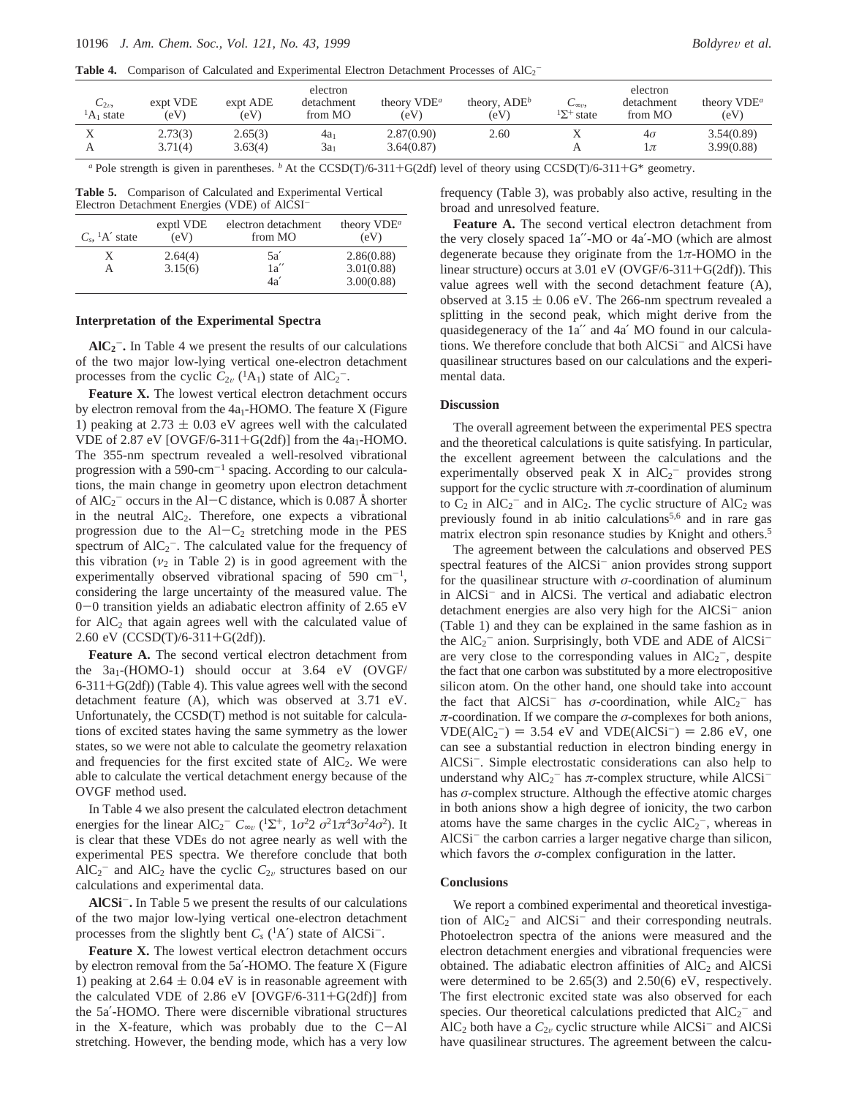**Table 4.** Comparison of Calculated and Experimental Electron Detachment Processes of  $AIC_2^-$ 

| $C_{2v}$<br>${}^{1}A_1$ state | expt VDE<br>(eV    | expt ADE<br>(eV)   | electron<br>detachment<br>from MO | theory $VDE^a$<br>(eV)   | theory, $ADE^b$<br>(eV) | $\cup$ 001/2<br>$\Delta$ <sup>+</sup> state | electron<br>detachment<br>from MO | theory $VDE^a$<br>(eV)   |
|-------------------------------|--------------------|--------------------|-----------------------------------|--------------------------|-------------------------|---------------------------------------------|-----------------------------------|--------------------------|
| △                             | 2.73(3)<br>3.71(4) | 2.65(3)<br>3.63(4) | 4a<br>$3a_1$                      | 2.87(0.90)<br>3.64(0.87) | 2.60                    |                                             | $4\sigma$<br>$1\pi$               | 3.54(0.89)<br>3.99(0.88) |

*<sup>a</sup>* Pole strength is given in parentheses. *<sup>b</sup>* At the CCSD(T)/6-311+G(2df) level of theory using CCSD(T)/6-311+G\* geometry.

**Table 5.** Comparison of Calculated and Experimental Vertical Electron Detachment Energies (VDE) of AlCSI-

| $C_s$ , <sup>1</sup> A' state | exptl VDE<br>(eV) | electron detachment<br>from MO | theory $VDE^a$<br>(eV) |
|-------------------------------|-------------------|--------------------------------|------------------------|
| X                             | 2.64(4)           | 5a'                            | 2.86(0.88)             |
| А                             | 3.15(6)           | 1a''                           | 3.01(0.88)             |
|                               |                   | 4a'                            | 3.00(0.88)             |

## **Interpretation of the Experimental Spectra**

**AlC2** -**.** In Table 4 we present the results of our calculations of the two major low-lying vertical one-electron detachment processes from the cyclic  $C_{2v}$  (<sup>1</sup>A<sub>1</sub>) state of AlC<sub>2</sub><sup>-</sup>.

**Feature X.** The lowest vertical electron detachment occurs by electron removal from the  $4a<sub>1</sub>$ -HOMO. The feature X (Figure 1) peaking at  $2.73 \pm 0.03$  eV agrees well with the calculated VDE of 2.87 eV [OVGF/6-311+G(2df)] from the  $4a_1$ -HOMO. The 355-nm spectrum revealed a well-resolved vibrational progression with a  $590\text{-cm}^{-1}$  spacing. According to our calculations, the main change in geometry upon electron detachment of AlC<sub>2</sub><sup>-</sup> occurs in the Al–C distance, which is 0.087 Å shorter<br>in the neutral AlC<sub>2</sub>. Therefore, one expects a vibrational in the neutral  $AIC_2$ . Therefore, one expects a vibrational progression due to the  $AI-C_2$  stretching mode in the PES spectrum of  $AIC_2^-$ . The calculated value for the frequency of this vibration  $(v_2$  in Table 2) is in good agreement with the experimentally observed vibrational spacing of 590  $cm^{-1}$ , considering the large uncertainty of the measured value. The <sup>0</sup>-0 transition yields an adiabatic electron affinity of 2.65 eV for  $AIC<sub>2</sub>$  that again agrees well with the calculated value of 2.60 eV (CCSD(T)/6-311+G(2df)).

**Feature A.** The second vertical electron detachment from the  $3a_1$ -(HOMO-1) should occur at  $3.64$  eV (OVGF/  $6-311+G(2df)$  (Table 4). This value agrees well with the second detachment feature (A), which was observed at 3.71 eV. Unfortunately, the CCSD(T) method is not suitable for calculations of excited states having the same symmetry as the lower states, so we were not able to calculate the geometry relaxation and frequencies for the first excited state of  $AIC_2$ . We were able to calculate the vertical detachment energy because of the OVGF method used.

In Table 4 we also present the calculated electron detachment energies for the linear AlC<sub>2</sub><sup>-</sup>  $C_{\infty}$  (<sup>1</sup> $\Sigma^{+}$ , 1*σ*<sup>2</sup>2 *σ*<sup>2</sup>1*π*<sup>4</sup>3*σ*<sup>2</sup>4*σ*<sup>2</sup>). It is clear that these VDEs do not agree nearly as well with the experimental PES spectra. We therefore conclude that both  $\text{AIC}_2^-$  and  $\text{AIC}_2$  have the cyclic  $C_{2v}$  structures based on our calculations and experimental data.

**AlCSi**-**.** In Table 5 we present the results of our calculations of the two major low-lying vertical one-electron detachment processes from the slightly bent  $C_s$  ( ${}^{1}$ A $'$ ) state of AlCSi<sup>-</sup>.

**Feature X.** The lowest vertical electron detachment occurs by electron removal from the 5a′-HOMO. The feature X (Figure 1) peaking at  $2.64 \pm 0.04$  eV is in reasonable agreement with the calculated VDE of 2.86 eV  $[OVGF/6-311+G(2df)]$  from the 5a′-HOMO. There were discernible vibrational structures in the X-feature, which was probably due to the  $C-$ Al stretching. However, the bending mode, which has a very low frequency (Table 3), was probably also active, resulting in the broad and unresolved feature.

**Feature A.** The second vertical electron detachment from the very closely spaced 1a′′-MO or 4a′-MO (which are almost degenerate because they originate from the 1*π*-HOMO in the linear structure) occurs at  $3.01 \text{ eV}$  (OVGF/6-311+G(2df)). This value agrees well with the second detachment feature (A), observed at  $3.15 \pm 0.06$  eV. The 266-nm spectrum revealed a splitting in the second peak, which might derive from the quasidegeneracy of the 1a′′ and 4a′ MO found in our calculations. We therefore conclude that both AlCSi- and AlCSi have quasilinear structures based on our calculations and the experimental data.

## **Discussion**

The overall agreement between the experimental PES spectra and the theoretical calculations is quite satisfying. In particular, the excellent agreement between the calculations and the experimentally observed peak  $X$  in  $AIC_2^-$  provides strong support for the cyclic structure with *π*-coordination of aluminum to  $C_2$  in  $AlC_2^-$  and in  $AlC_2$ . The cyclic structure of  $AlC_2$  was previously found in ab initio calculations<sup>5,6</sup> and in rare gas matrix electron spin resonance studies by Knight and others.5

The agreement between the calculations and observed PES spectral features of the AlCSi<sup>-</sup> anion provides strong support for the quasilinear structure with *σ*-coordination of aluminum in AlCSi- and in AlCSi. The vertical and adiabatic electron detachment energies are also very high for the AlCSi<sup>-</sup> anion (Table 1) and they can be explained in the same fashion as in the  $AIC_2^-$  anion. Surprisingly, both VDE and ADE of  $AICSi^$ are very close to the corresponding values in  $AIC_2^-$ , despite the fact that one carbon was substituted by a more electropositive silicon atom. On the other hand, one should take into account the fact that  $AICSi^-$  has *σ*-coordination, while  $AIC_2^-$  has *π*-coordination. If we compare the *σ*-complexes for both anions,  $VDE( AIC_2^- ) = 3.54$  eV and  $VDE( AIC_2^- ) = 2.86$  eV, one<br>can see a substantial reduction in electron binding energy in can see a substantial reduction in electron binding energy in AlCSi<sup>-</sup>. Simple electrostatic considerations can also help to understand why  $AIC_2^-$  has  $\pi$ -complex structure, while  $AICSi^$ has *σ*-complex structure. Although the effective atomic charges in both anions show a high degree of ionicity, the two carbon atoms have the same charges in the cyclic  $AIC_2^-$ , whereas in AlCSi<sup>-</sup> the carbon carries a larger negative charge than silicon, which favors the *σ*-complex configuration in the latter.

# **Conclusions**

We report a combined experimental and theoretical investigation of  $AIC_2^-$  and  $AICSi^-$  and their corresponding neutrals. Photoelectron spectra of the anions were measured and the electron detachment energies and vibrational frequencies were obtained. The adiabatic electron affinities of  $AIC<sub>2</sub>$  and  $AICSi$ were determined to be 2.65(3) and 2.50(6) eV, respectively. The first electronic excited state was also observed for each species. Our theoretical calculations predicted that  $AIC_2^-$  and  $AIC<sub>2</sub>$  both have a  $C<sub>2v</sub>$  cyclic structure while  $AICSi^-$  and  $AICSi^$ have quasilinear structures. The agreement between the calcu